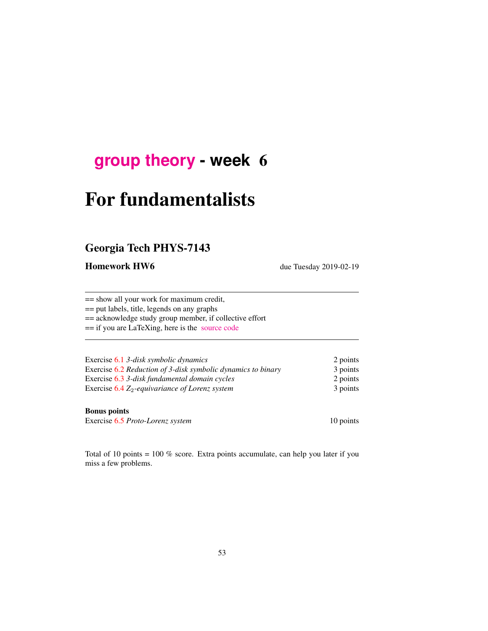## **[group theory](http://birdtracks.eu/courses/PHYS-7143-19/schedule.html) - week** 6

# For fundamentalists

## Georgia Tech PHYS-7143

Homework HW6 due Tuesday 2019-02-19

== show all your work for maximum credit, == put labels, title, legends on any graphs == acknowledge study group member, if collective effort

== if you are LaTeXing, here is the [source code](http://birdtracks.eu/courses/PHYS-7143-19/exerWeek6.tex)

| Exercise 6.1 3-disk symbolic dynamics                        | 2 points |
|--------------------------------------------------------------|----------|
| Exercise 6.2 Reduction of 3-disk symbolic dynamics to binary | 3 points |
| Exercise 6.3 3-disk fundamental domain cycles                | 2 points |
| Exercise $6.4 Z_2$ -equivariance of Lorenz system            | 3 points |

#### Bonus points

Exercise 6.5 *Proto-Lorenz system* 10 points

Total of 10 points = 100 % score. Extra points accumulate, can help you later if you miss a few problems.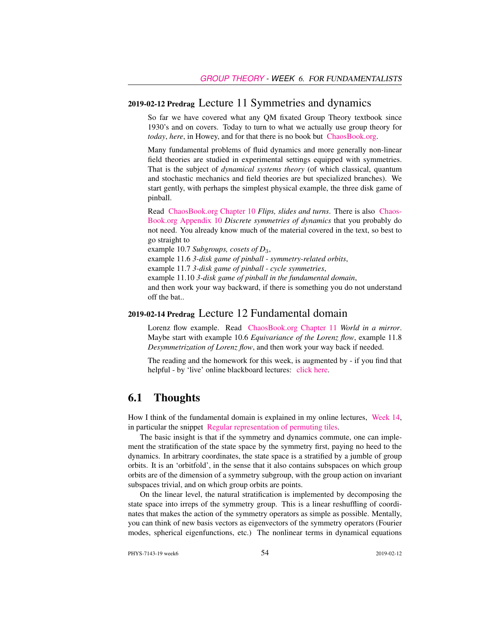#### 2019-02-12 Predrag Lecture 11 Symmetries and dynamics

So far we have covered what any QM fixated Group Theory textbook since 1930's and on covers. Today to turn to what we actually use group theory for *today*, *here*, in Howey, and for that there is no book but [ChaosBook.org.](http://ChaosBook.org)

Many fundamental problems of fluid dynamics and more generally non-linear field theories are studied in experimental settings equipped with symmetries. That is the subject of *dynamical systems theory* (of which classical, quantum and stochastic mechanics and field theories are but specialized branches). We start gently, with perhaps the simplest physical example, the three disk game of pinball.

Read [ChaosBook.org Chapter 10](http://birdtracks.eu/courses/PHYS-7143-19/finiteGr.pdf) *Flips, slides and turns*. There is also [Chaos-](http://birdtracks.eu/courses/PHYS-7143-19/appendSymm.pdf)[Book.org Appendix 10](http://birdtracks.eu/courses/PHYS-7143-19/appendSymm.pdf) *Discrete symmetries of dynamics* that you probably do not need. You already know much of the material covered in the text, so best to go straight to

example 10.7 *Subgroups, cosets of D*3,

example 11.6 *3-disk game of pinball - symmetry-related orbits*,

example 11.7 *3-disk game of pinball - cycle symmetries*,

example 11.10 *3-disk game of pinball in the fundamental domain*,

and then work your way backward, if there is something you do not understand off the bat..

#### 2019-02-14 Predrag Lecture 12 Fundamental domain

Lorenz flow example. Read [ChaosBook.org Chapter 11](http://birdtracks.eu/courses/PHYS-7143-19/discrete.pdf) *World in a mirror*. Maybe start with example 10.6 *Equivariance of the Lorenz flow*, example 11.8 *Desymmetrization of Lorenz flow*, and then work your way back if needed.

The reading and the homework for this week, is augmented by - if you find that helpful - by 'live' online blackboard lectures: [click here.](http://chaosbook.org/course1/Course1w4.html)

#### 6.1 Thoughts

How I think of the fundamental domain is explained in my online lectures, [Week 14,](http://chaosbook.org/course1/Course2w14.html) in particular the snippet [Regular representation of permuting tiles.](http://www.youtube.com/embed/SnBUkUqsWTU)

The basic insight is that if the symmetry and dynamics commute, one can implement the stratification of the state space by the symmetry first, paying no heed to the dynamics. In arbitrary coordinates, the state space is a stratified by a jumble of group orbits. It is an 'orbitfold', in the sense that it also contains subspaces on which group orbits are of the dimension of a symmetry subgroup, with the group action on invariant subspaces trivial, and on which group orbits are points.

On the linear level, the natural stratification is implemented by decomposing the state space into irreps of the symmetry group. This is a linear reshuffling of coordinates that makes the action of the symmetry operators as simple as possible. Mentally, you can think of new basis vectors as eigenvectors of the symmetry operators (Fourier modes, spherical eigenfunctions, etc.) The nonlinear terms in dynamical equations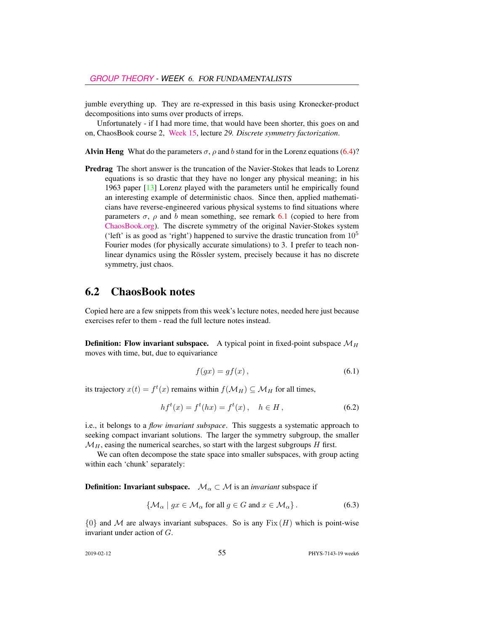jumble everything up. They are re-expressed in this basis using Kronecker-product decompositions into sums over products of irreps.

Unfortunately - if I had more time, that would have been shorter, this goes on and on, ChaosBook course 2, [Week 15,](http://chaosbook.org/course1/Course2w15.html) lecture *29. Discrete symmetry factorization*.

Alvin Heng What do the parameters  $\sigma$ ,  $\rho$  and b stand for in the Lorenz equations (6.4)?

Predrag The short answer is the truncation of the Navier-Stokes that leads to Lorenz equations is so drastic that they have no longer any physical meaning; in his 1963 paper [13] Lorenz played with the parameters until he empirically found an interesting example of deterministic chaos. Since then, applied mathematicians have reverse-engineered various physical systems to find situations where parameters  $\sigma$ ,  $\rho$  and b mean something, see remark 6.1 (copied to here from [ChaosBook.org\)](http://ChaosBook.org). The discrete symmetry of the original Navier-Stokes system ('left' is as good as 'right') happened to survive the drastic truncation from  $10^5$ Fourier modes (for physically accurate simulations) to 3. I prefer to teach nonlinear dynamics using the Rössler system, precisely because it has no discrete symmetry, just chaos.

#### 6.2 ChaosBook notes

Copied here are a few snippets from this week's lecture notes, needed here just because exercises refer to them - read the full lecture notes instead.

**Definition:** Flow invariant subspace. A typical point in fixed-point subspace  $\mathcal{M}_H$ moves with time, but, due to equivariance

$$
f(gx) = gf(x),\tag{6.1}
$$

its trajectory  $x(t) = f^t(x)$  remains within  $f(\mathcal{M}_H) \subseteq \mathcal{M}_H$  for all times,

$$
hf^{t}(x) = f^{t}(hx) = f^{t}(x), \quad h \in H,
$$
\n(6.2)

i.e., it belongs to a *flow invariant subspace*. This suggests a systematic approach to seeking compact invariant solutions. The larger the symmetry subgroup, the smaller  $\mathcal{M}_H$ , easing the numerical searches, so start with the largest subgroups H first.

We can often decompose the state space into smaller subspaces, with group acting within each 'chunk' separately:

**Definition: Invariant subspace.**  $\mathcal{M}_\alpha \subset \mathcal{M}$  is an *invariant* subspace if

$$
\{\mathcal{M}_{\alpha} \mid gx \in \mathcal{M}_{\alpha} \text{ for all } g \in G \text{ and } x \in \mathcal{M}_{\alpha}\}.
$$
 (6.3)

 $\{0\}$  and M are always invariant subspaces. So is any Fix  $(H)$  which is point-wise invariant under action of G.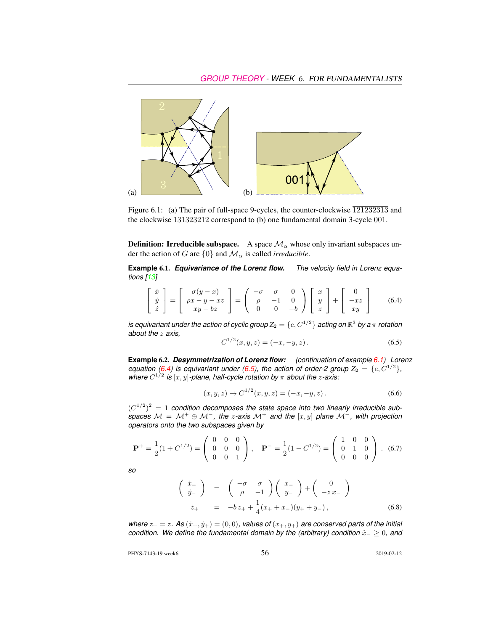

Figure 6.1: (a) The pair of full-space 9-cycles, the counter-clockwise  $\overline{121232313}$  and the clockwise  $\overline{131323212}$  correspond to (b) one fundamental domain 3-cycle  $\overline{001}$ .

**Definition: Irreducible subspace.** A space  $\mathcal{M}_{\alpha}$  whose only invariant subspaces under the action of G are  $\{0\}$  and  $\mathcal{M}_{\alpha}$  is called *irreducible*.

**Example** 6.1. *Equivariance of the Lorenz flow. The velocity field in Lorenz equations [13]*

$$
\begin{bmatrix} \dot{x} \\ \dot{y} \\ \dot{z} \end{bmatrix} = \begin{bmatrix} \sigma(y-x) \\ \rho x - y - xz \\ xy - bz \end{bmatrix} = \begin{pmatrix} -\sigma & \sigma & 0 \\ \rho & -1 & 0 \\ 0 & 0 & -b \end{pmatrix} \begin{bmatrix} x \\ y \\ z \end{bmatrix} + \begin{bmatrix} 0 \\ -xz \\ xy \end{bmatrix}
$$
(6.4)

 $i$ **s** equivariant under the action of cyclic group  $Z_2 = \{e, C^{1/2}\}$  acting on  $\mathbb{R}^3$  by a  $\pi$  rotation *about the* z *axis,*

$$
C^{1/2}(x, y, z) = (-x, -y, z). \tag{6.5}
$$

**Example** 6.2. *Desymmetrization of Lorenz flow: (continuation of example 6.1) Lorenz equation (6.4)* is equivariant under (6.5), the action of order-2 group  $Z_2 = \{e, C^{1/2}\},$ where  $C^{1/2}$  is  $[x, y]$ -plane, half-cycle rotation by  $\pi$  about the *z*-axis:

$$
(x, y, z) \to C^{1/2}(x, y, z) = (-x, -y, z).
$$
 (6.6)

 $(C^{1/2})^2 = 1$  condition decomposes the state space into two linearly irreducible sub*spaces*  $M = M^+ \oplus M^-$ , the *z*-axis  $M^+$  and the  $[x, y]$  plane  $M^-$ , with projection *operators onto the two subspaces given by*

$$
\mathbf{P}^{+} = \frac{1}{2}(1 + C^{1/2}) = \begin{pmatrix} 0 & 0 & 0 \\ 0 & 0 & 0 \\ 0 & 0 & 1 \end{pmatrix}, \quad \mathbf{P}^{-} = \frac{1}{2}(1 - C^{1/2}) = \begin{pmatrix} 1 & 0 & 0 \\ 0 & 1 & 0 \\ 0 & 0 & 0 \end{pmatrix}. \tag{6.7}
$$

*so*

$$
\begin{pmatrix}\n\dot{x}_{-} \\
\dot{y}_{-}\n\end{pmatrix} = \begin{pmatrix}\n-\sigma & \sigma \\
\rho & -1\n\end{pmatrix}\n\begin{pmatrix}\nx_{-} \\
y_{-}\n\end{pmatrix} + \begin{pmatrix}\n0 \\
-zx_{-}\n\end{pmatrix}
$$
\n
$$
\dot{z}_{+} = -bz_{+} + \frac{1}{4}(x_{+} + x_{-})(y_{+} + y_{-}),
$$
\n(6.8)

*where*  $z_+ = z$ *.* As  $(\dot{x}_+,\dot{y}_+) = (0,0)$ *, values of*  $(x_+,y_+)$  *are conserved parts of the initial condition. We define the fundamental domain by the (arbitrary) condition*  $\hat{x}_− ≥ 0$ *, and* 

PHYS-7143-19 week6 2019-02-12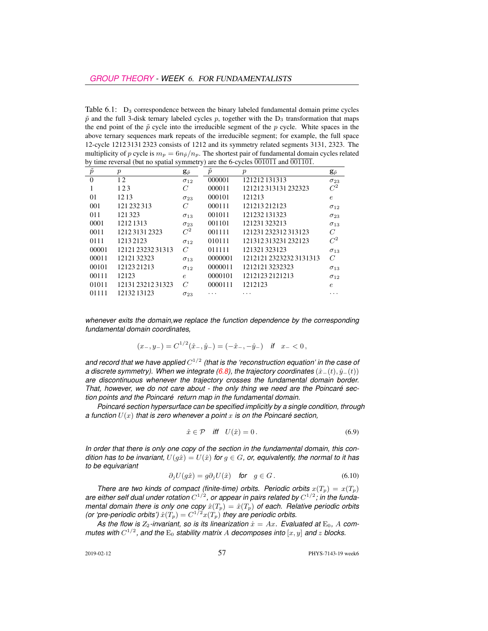Table  $6.1$ :  $D_3$  correspondence between the binary labeled fundamental domain prime cycles  $\tilde{p}$  and the full 3-disk ternary labeled cycles p, together with the  $D_3$  transformation that maps the end point of the  $\tilde{p}$  cycle into the irreducible segment of the  $p$  cycle. White spaces in the above ternary sequences mark repeats of the irreducible segment; for example, the full space 12-cycle 1212 3131 2323 consists of 1212 and its symmetry related segments 3131, 2323. The multiplicity of p cycle is  $m_p = 6n_{\tilde{p}}/n_p$ . The shortest pair of fundamental domain cycles related by time reversal (but no spatial symmetry) are the 6-cycles  $\overline{001011}$  and  $\overline{001101}$ .

| $\tilde{p}$ | $\boldsymbol{p}$  | $\mathbf{g}_{\tilde{p}}$ | $\tilde{p}$ | $\boldsymbol{p}$      | $\mathbf{g}_{\tilde{p}}$ |
|-------------|-------------------|--------------------------|-------------|-----------------------|--------------------------|
| $\theta$    | 12                | $\sigma_{12}$            | 000001      | 121212131313          | $\sigma_{23}$            |
|             | 123               | C                        | 000011      | 121212313131232323    | $C^2$                    |
| 01          | 1213              | $\sigma_{23}$            | 000101      | 121213                | $\epsilon$               |
| 001         | 121 232 313       | $\overline{C}$           | 000111      | 121213212123          | $\sigma_{12}$            |
| 011         | 121323            | $\sigma_{13}$            | 001011      | 121232 131323         | $\sigma_{23}$            |
| 0001        | 1212 1313         | $\sigma_{23}$            | 001101      | 121231323213          | $\sigma_{13}$            |
| 0011        | 121231312323      | $C^2$                    | 001111      | 121231 232312 313123  | C                        |
| 0111        | 12132123          | $\sigma_{12}$            | 010111      | 121312313231232123    | $C^2$                    |
| 00001       | 12121 23232 31313 | $\mathcal{C}$            | 011111      | 121321323123          | $\sigma_{13}$            |
| 00011       | 1212132323        | $\sigma_{13}$            | 0000001     | 121212123232323131313 | $\mathcal{C}$            |
| 00101       | 12123 21213       | $\sigma_{12}$            | 0000011     | 12121213232323        | $\sigma_{13}$            |
| 00111       | 12123             | $\epsilon$               | 0000101     | 12121232121213        | $\sigma_{12}$            |
| 01011       | 121312321231323   | $\mathcal{C}$            | 0000111     | 1212123               | $\epsilon$               |
| 01111       | 1213213123        | $\sigma_{23}$            | .           | $\cdots$              | .                        |

*whenever exits the domain,we replace the function dependence by the corresponding fundamental domain coordinates,*

$$
(x_-, y_-) = C^{1/2}(\hat{x}_-, \hat{y}_-) = (-\hat{x}_-, -\hat{y}_-) \quad \text{if} \quad x_- < 0 \,,
$$

and record that we have applied  $C^{1/2}$  (that is the 'reconstruction equation' in the case of *a discrete symmetry). When we integrate (6.8), the trajectory coordinates*  $(\hat{x}_-(t), \hat{y}_-(t))$ *are discontinuous whenever the trajectory crosses the fundamental domain border. That, however, we do not care about - the only thing we need are the Poincaré section points and the Poincaré return map in the fundamental domain.*

*Poincaré section hypersurface can be specified implicitly by a single condition, through a function*  $U(x)$  *that is zero whenever a point* x *is on the Poincaré section,* 

$$
\hat{x} \in \mathcal{P} \quad \text{iff} \quad U(\hat{x}) = 0 \,. \tag{6.9}
$$

*In order that there is only one copy of the section in the fundamental domain, this condition has to be invariant,*  $U(g\hat{x}) = U(\hat{x})$  *for*  $g \in G$ *, or, equivalently, the normal to it has to be equivariant*

$$
\partial_j U(g\hat{x}) = g\partial_j U(\hat{x}) \quad \text{for} \quad g \in G. \tag{6.10}
$$

*There are two kinds of compact (finite-time) orbits. Periodic orbits*  $x(T_p) = x(T_p)$ are either self dual under rotation  $C^{1/2}$ , or appear in pairs related by  $C^{1/2}$ ; in the funda*mental domain there is only one copy*  $\hat{x}(T_p) = \hat{x}(T_p)$  *of each. Relative periodic orbits (or 'pre-periodic orbits')*  $\hat{x}(T_p) = C^{1/2}x(T_p)$  *they are periodic orbits.* 

As the flow is  $Z_2$ -invariant, so is its linearization  $\dot{x} = Ax$ . Evaluated at  $E_0$ , A com*mutes with*  $C^{1/2}$ , and the  $E_0$  stability matrix A decomposes into  $[x, y]$  and z blocks.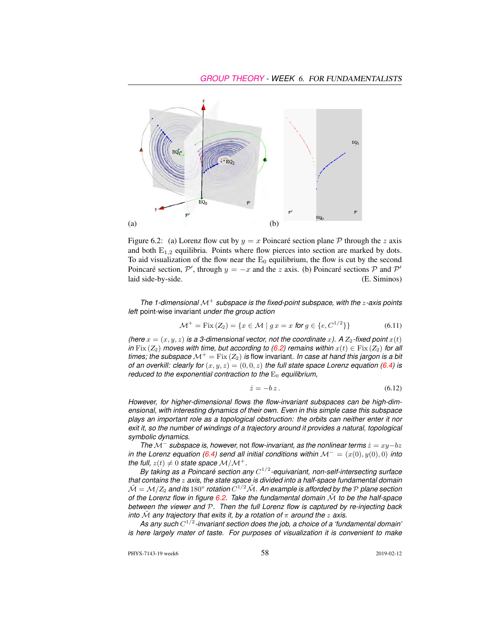

Figure 6.2: (a) Lorenz flow cut by  $y = x$  Poincaré section plane P through the z axis and both  $E_{1,2}$  equilibria. Points where flow pierces into section are marked by dots. To aid visualization of the flow near the  $E_0$  equilibrium, the flow is cut by the second Poincaré section,  $\mathcal{P}'$ , through  $y = -x$  and the z axis. (b) Poincaré sections  $\mathcal P$  and  $\mathcal P'$ laid side-by-side. (E. Siminos)

*The 1-dimensional* M<sup>+</sup> *subspace is the fixed-point subspace, with the* z*-axis points left* point-wise invariant *under the group action*

$$
\mathcal{M}^+ = \text{Fix}\,(Z_2) = \{x \in \mathcal{M} \mid g \, x = x \text{ for } g \in \{e, C^{1/2}\}\}\tag{6.11}
$$

*(here*  $x = (x, y, z)$  *is a 3-dimensional vector, not the coordinate x).* A  $Z_2$ -fixed point  $x(t)$ *in* Fix  $(Z_2)$  *moves with time, but according to (6.2) remains within*  $x(t) \in \text{Fix } (Z_2)$  *for all times; the subspace*  $\mathcal{M}^+$  = Fix ( $Z_2$ ) *is* flow invariant. In case at hand this jargon is a bit *of an overkill: clearly for*  $(x, y, z) = (0, 0, z)$  *the full state space Lorenz equation (6.4) is reduced to the exponential contraction to the*  $E_0$  *equilibrium,* 

$$
\dot{z} = -bz \,. \tag{6.12}
$$

*However, for higher-dimensional flows the flow-invariant subspaces can be high-dimensional, with interesting dynamics of their own. Even in this simple case this subspace plays an important role as a topological obstruction: the orbits can neither enter it nor exit it, so the number of windings of a trajectory around it provides a natural, topological symbolic dynamics.*

*The*  $M^-$  *subspace is, however,* not *flow-invariant, as the nonlinear terms*  $\dot{z} = xy-bz$ *in the Lorenz equation (6.4) send all initial conditions within*  $\mathcal{M}^- = (x(0), y(0), 0)$  *into the full,*  $z(t) \neq 0$  *state space*  $M/M^+$ .

*By taking as a Poincaré section any* C 1/2 *-equivariant, non-self-intersecting surface that contains the* z *axis, the state space is divided into a half-space fundamental domain*  $\tilde{\cal M} = {\cal M} / Z_2$  and its  $180^o$  rotation  $C^{1/2} \tilde{\cal M}$  . An example is afforded by the  ${\cal P}$  plane section *of the Lorenz flow in figure*  $6.2$ . Take the fundamental domain  $\tilde{M}$  to be the half-space *between the viewer and* P*. Then the full Lorenz flow is captured by re-injecting back into*  $\tilde{M}$  *any trajectory that exits it, by a rotation of*  $\pi$  *around the*  $z$  *axis.* 

*As any such* C 1/2 *-invariant section does the job, a choice of a 'fundamental domain' is here largely mater of taste. For purposes of visualization it is convenient to make*

PHYS-7143-19 week6 58 2019-02-12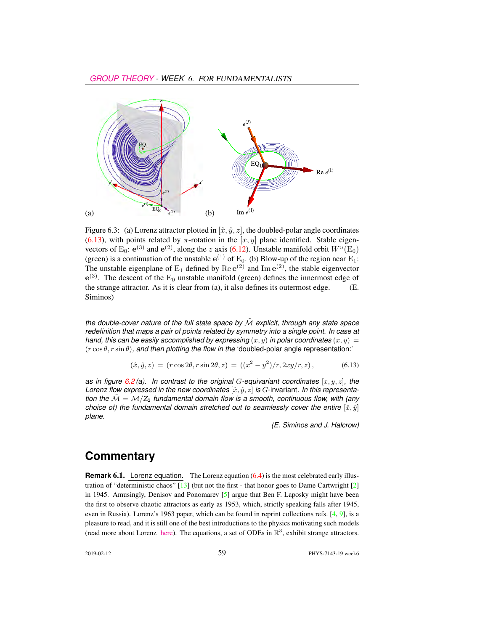

Figure 6.3: (a) Lorenz attractor plotted in  $[\hat{x}, \hat{y}, z]$ , the doubled-polar angle coordinates (6.13), with points related by  $\pi$ -rotation in the  $[x, y]$  plane identified. Stable eigenvectors of E<sub>0</sub>:  $e^{(3)}$  and  $e^{(2)}$ , along the z axis (6.12). Unstable manifold orbit  $W^u(\text{E}_0)$ (green) is a continuation of the unstable  $e^{(1)}$  of  $E_0$ . (b) Blow-up of the region near  $E_1$ : The unstable eigenplane of  $E_1$  defined by  $\text{Re} e^{(2)}$  and  $\text{Im} e^{(2)}$ , the stable eigenvector  $e^{(3)}$ . The descent of the  $E_0$  unstable manifold (green) defines the innermost edge of the strange attractor. As it is clear from (a), it also defines its outermost edge. (E. Siminos)

*the double-cover nature of the full state space by*  $\tilde{M}$  *explicit, through any state space redefinition that maps a pair of points related by symmetry into a single point. In case at hand, this can be easily accomplished by expressing*  $(x, y)$  *in polar coordinates*  $(x, y) =$  $(r \cos \theta, r \sin \theta)$ *, and then plotting the flow in the 'doubled-polar angle representation:'* 

$$
(\hat{x}, \hat{y}, z) = (r \cos 2\theta, r \sin 2\theta, z) = ((x^2 - y^2)/r, 2xy/r, z), \tag{6.13}
$$

*as in figure*  $6.2$  (a). In contrast to the original G-equivariant coordinates  $[x, y, z]$ , the *Lorenz flow expressed in the new coordinates*  $[\hat{x}, \hat{y}, z]$  *is G*-invariant. In this representa*tion the*  $\tilde{M} = M/Z_2$  *fundamental domain flow is a smooth, continuous flow, with (any choice of) the fundamental domain stretched out to seamlessly cover the entire*  $[\hat{x}, \hat{y}]$ *plane.*

*(E. Siminos and J. Halcrow)*

#### **Commentary**

**Remark 6.1.** Lorenz equation. The Lorenz equation (6.4) is the most celebrated early illustration of "deterministic chaos" [13] (but not the first - that honor goes to Dame Cartwright [2] in 1945. Amusingly, Denisov and Ponomarev [5] argue that Ben F. Laposky might have been the first to observe chaotic attractors as early as 1953, which, strictly speaking falls after 1945, even in Russia). Lorenz's 1963 paper, which can be found in reprint collections refs. [4, 9], is a pleasure to read, and it is still one of the best introductions to the physics motivating such models (read more about Lorenz [here\)](http://web.mit.edu/lorenzcenter/about/lorenz.html). The equations, a set of ODEs in  $\mathbb{R}^3$ , exhibit strange attractors.

2019-02-12 59 PHYS-7143-19 week6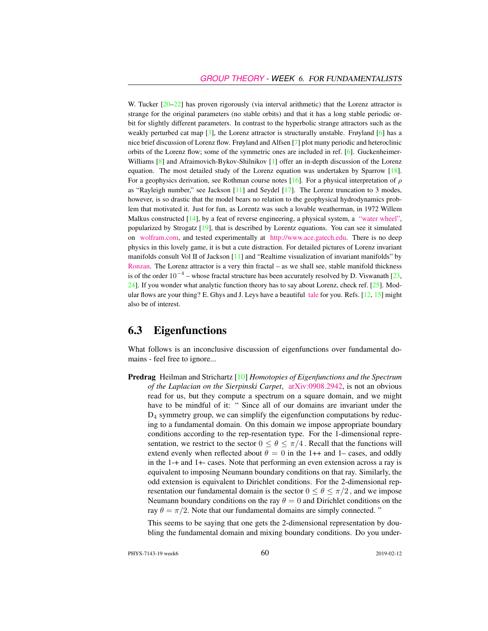W. Tucker  $[20-22]$  has proven rigorously (via interval arithmetic) that the Lorenz attractor is strange for the original parameters (no stable orbits) and that it has a long stable periodic orbit for slightly different parameters. In contrast to the hyperbolic strange attractors such as the weakly perturbed cat map  $\lceil 3 \rceil$ , the Lorenz attractor is structurally unstable. Frøyland  $\lceil 6 \rceil$  has a nice brief discussion of Lorenz flow. Frøyland and Alfsen [7] plot many periodic and heteroclinic orbits of the Lorenz flow; some of the symmetric ones are included in ref. [6]. Guckenheimer-Williams [8] and Afraimovich-Bykov-Shilnikov [1] offer an in-depth discussion of the Lorenz equation. The most detailed study of the Lorenz equation was undertaken by Sparrow [18]. For a geophysics derivation, see Rothman course notes [16]. For a physical interpretation of  $\rho$ as "Rayleigh number," see Jackson [11] and Seydel [17]. The Lorenz truncation to 3 modes, however, is so drastic that the model bears no relation to the geophysical hydrodynamics problem that motivated it. Just for fun, as Lorentz was such a lovable weatherman, in 1972 Willem Malkus constructed [14], by a feat of reverse engineering, a physical system, a ["water wheel",](http://www.math.cornell.edu/~lipa/mec/lesson1.html) popularized by Strogatz [19], that is described by Lorentz equations. You can see it simulated on [wolfram.com,](http://demonstrations.wolfram.com/LorenzsWaterWheel/) and tested experimentally at [http://www.ace.gatech.edu.](http://www.ace.gatech.edu/experiments2/2413/lorenz/fall02/) There is no deep physics in this lovely game, it is but a cute distraction. For detailed pictures of Lorenz invariant manifolds consult Vol II of Jackson [11] and "Realtime visualization of invariant manifolds" by [Ronzan.](https://www.youtube.com/watch?v=pDMUTYHVMzw) The Lorenz attractor is a very thin fractal – as we shall see, stable manifold thickness is of the order  $10^{-4}$  – whose fractal structure has been accurately resolved by D. Viswanath [23, 24]. If you wonder what analytic function theory has to say about Lorenz, check ref. [25]. Modular flows are your thing? E. Ghys and J. Leys have a beautiful [tale](http://www.josleys.com/articles/ams_article/Lorenz3.htm) for you. Refs.  $[12, 15]$  might also be of interest.

#### 6.3 Eigenfunctions

What follows is an inconclusive discussion of eigenfunctions over fundamental domains - feel free to ignore...

Predrag Heilman and Strichartz [10] *Homotopies of Eigenfunctions and the Spectrum of the Laplacian on the Sierpinski Carpet*, [arXiv:0908.2942,](http://arXiv.org/abs/0908.2942) is not an obvious read for us, but they compute a spectrum on a square domain, and we might have to be mindful of it: " Since all of our domains are invariant under the  $D_4$  symmetry group, we can simplify the eigenfunction computations by reducing to a fundamental domain. On this domain we impose appropriate boundary conditions according to the rep-resentation type. For the 1-dimensional representation, we restrict to the sector  $0 \le \theta \le \pi/4$ . Recall that the functions will extend evenly when reflected about  $\theta = 0$  in the 1++ and 1– cases, and oddly in the 1-+ and 1+- cases. Note that performing an even extension across a ray is equivalent to imposing Neumann boundary conditions on that ray. Similarly, the odd extension is equivalent to Dirichlet conditions. For the 2-dimensional representation our fundamental domain is the sector  $0 \le \theta \le \pi/2$ , and we impose Neumann boundary conditions on the ray  $\theta = 0$  and Dirichlet conditions on the ray  $\theta = \pi/2$ . Note that our fundamental domains are simply connected. "

This seems to be saying that one gets the 2-dimensional representation by doubling the fundamental domain and mixing boundary conditions. Do you under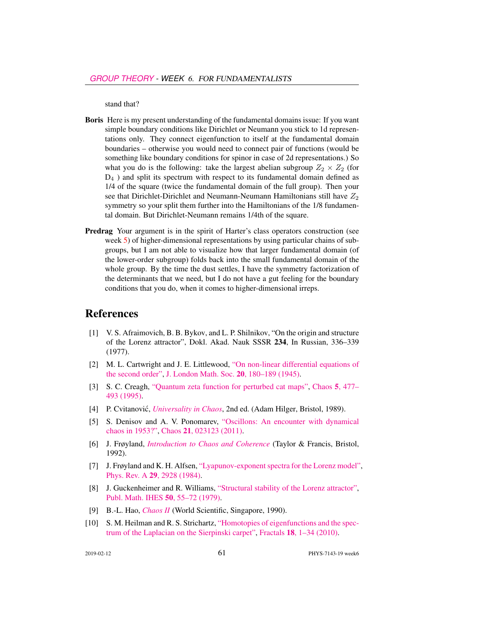stand that?

- Boris Here is my present understanding of the fundamental domains issue: If you want simple boundary conditions like Dirichlet or Neumann you stick to 1d representations only. They connect eigenfunction to itself at the fundamental domain boundaries – otherwise you would need to connect pair of functions (would be something like boundary conditions for spinor in case of 2d representations.) So what you do is the following: take the largest abelian subgroup  $Z_2 \times Z_2$  (for D<sup>4</sup> ) and split its spectrum with respect to its fundamental domain defined as 1/4 of the square (twice the fundamental domain of the full group). Then your see that Dirichlet-Dirichlet and Neumann-Neumann Hamiltonians still have  $Z_2$ symmetry so your split them further into the Hamiltonians of the 1/8 fundamental domain. But Dirichlet-Neumann remains 1/4th of the square.
- Predrag Your argument is in the spirit of Harter's class operators construction (see week 5) of higher-dimensional representations by using particular chains of subgroups, but I am not able to visualize how that larger fundamental domain (of the lower-order subgroup) folds back into the small fundamental domain of the whole group. By the time the dust settles, I have the symmetry factorization of the determinants that we need, but I do not have a gut feeling for the boundary conditions that you do, when it comes to higher-dimensional irreps.

#### References

- [1] V. S. Afraimovich, B. B. Bykov, and L. P. Shilnikov, "On the origin and structure of the Lorenz attractor", Dokl. Akad. Nauk SSSR 234, In Russian, 336–339 (1977).
- [2] M. L. Cartwright and J. E. Littlewood, ["On non-linear differential equations of](http://dx.doi.org/10.1112/jlms/s1-20.3.180) [the second order",](http://dx.doi.org/10.1112/jlms/s1-20.3.180) [J. London Math. Soc.](http://dx.doi.org/10.1112/jlms/s1-20.3.180) 20, 180–189 (1945).
- [3] S. C. Creagh, ["Quantum zeta function for perturbed cat maps",](http://dx.doi.org/10.1063/1.166119) Chaos 5[, 477–](http://dx.doi.org/10.1063/1.166119) [493 \(1995\).](http://dx.doi.org/10.1063/1.166119)
- [4] P. Cvitanović, *[Universality in Chaos](http://books.google.com/books?vid=ISBN9780852742600)*, 2nd ed. (Adam Hilger, Bristol, 1989).
- [5] S. Denisov and A. V. Ponomarev, ["Oscillons: An encounter with dynamical](http://dx.doi.org/10.1063/1.3562545) [chaos in 1953?",](http://dx.doi.org/10.1063/1.3562545) Chaos 21[, 023123 \(2011\).](http://dx.doi.org/10.1063/1.3562545)
- [6] J. Frøyland, *[Introduction to Chaos and Coherence](http://books.google.com/books?vid=ISBN9780750301954)* (Taylor & Francis, Bristol, 1992).
- [7] J. Frøyland and K. H. Alfsen, ["Lyapunov-exponent spectra for the Lorenz model",](http://dx.doi.org/10.1103/physreva.29.2928) Phys. Rev. A 29[, 2928 \(1984\).](http://dx.doi.org/10.1103/physreva.29.2928)
- [8] J. Guckenheimer and R. Williams, ["Structural stability of the Lorenz attractor",](https://link.springer.com/content/pdf/10.1007/BF02684769.pdf) [Publ. Math. IHES](https://link.springer.com/content/pdf/10.1007/BF02684769.pdf) 50, 55–72 (1979).
- [9] B.-L. Hao, *[Chaos II](http://dx.doi.org/10.1142/1001)* (World Scientific, Singapore, 1990).
- [10] S. M. Heilman and R. S. Strichartz, ["Homotopies of eigenfunctions and the spec](http://dx.doi.org/10.1142/S0218348X10004750)[trum of the Laplacian on the Sierpinski carpet",](http://dx.doi.org/10.1142/S0218348X10004750) Fractals 18[, 1–34 \(2010\).](http://dx.doi.org/10.1142/S0218348X10004750)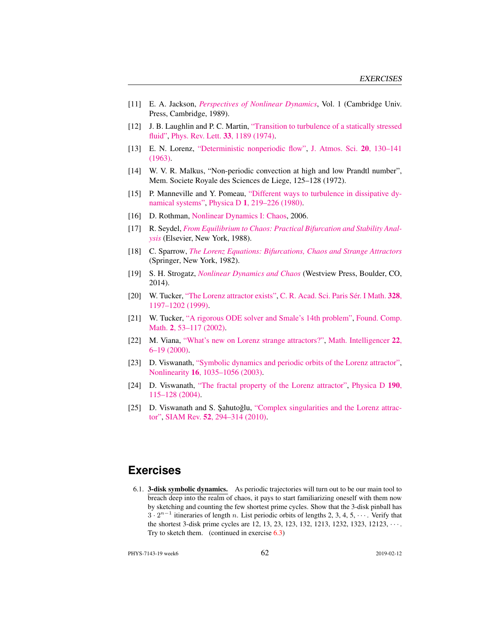- [11] E. A. Jackson, *[Perspectives of Nonlinear Dynamics](http://dx.doi.org/10.1017/cbo9780511623974)*, Vol. 1 (Cambridge Univ. Press, Cambridge, 1989).
- [12] J. B. Laughlin and P. C. Martin, ["Transition to turbulence of a statically stressed](http://dx.doi.org/10.1103/physrevlett.33.1189) [fluid",](http://dx.doi.org/10.1103/physrevlett.33.1189) [Phys. Rev. Lett.](http://dx.doi.org/10.1103/physrevlett.33.1189) 33, 1189 (1974).
- [13] E. N. Lorenz, ["Deterministic nonperiodic flow",](http://dx.doi.org/10.1175/1520-0469(1963)020<0130:DNF>2.0.CO;2) [J. Atmos. Sci.](http://dx.doi.org/10.1175/1520-0469(1963)020<0130:DNF>2.0.CO;2) 20, 130-141 [\(1963\).](http://dx.doi.org/10.1175/1520-0469(1963)020<0130:DNF>2.0.CO;2)
- [14] W. V. R. Malkus, "Non-periodic convection at high and low Prandtl number", Mem. Societe Royale des Sciences de Liege, 125–128 (1972).
- [15] P. Manneville and Y. Pomeau, ["Different ways to turbulence in dissipative dy](http://dx.doi.org/10.1016/0167-2789(80)90013-5)[namical systems",](http://dx.doi.org/10.1016/0167-2789(80)90013-5) Physica D 1[, 219–226 \(1980\).](http://dx.doi.org/10.1016/0167-2789(80)90013-5)
- [16] D. Rothman, [Nonlinear Dynamics I: Chaos,](https://dspace.mit.edu/bitstream/handle/1721.1/84612/12-006j-fall-2006/contents/index.htm) 2006.
- [17] R. Seydel, *[From Equilibrium to Chaos: Practical Bifurcation and Stability Anal](http://euklid.mi.uni-koeln.de/~seydel/buch2.html)[ysis](http://euklid.mi.uni-koeln.de/~seydel/buch2.html)* (Elsevier, New York, 1988).
- [18] C. Sparrow, *[The Lorenz Equations: Bifurcations, Chaos and Strange Attractors](http://dx.doi.org/10.1007/978-1-4612-5767-7)* (Springer, New York, 1982).
- [19] S. H. Strogatz, *[Nonlinear Dynamics and Chaos](http://books.google.com/books?vid=ISBN9780813349107)* (Westview Press, Boulder, CO, 2014).
- [20] W. Tucker, ["The Lorenz attractor exists",](http://dx.doi.org/10.1016/s0764-4442(99)80439-x) [C. R. Acad. Sci. Paris Sér. I Math.](http://dx.doi.org/10.1016/s0764-4442(99)80439-x) 328, [1197–1202 \(1999\).](http://dx.doi.org/10.1016/s0764-4442(99)80439-x)
- [21] W. Tucker, ["A rigorous ODE solver and Smale's 14th problem",](http://dx.doi.org/10.1007/s002080010018) [Found. Comp.](http://dx.doi.org/10.1007/s002080010018) Math. 2[, 53–117 \(2002\).](http://dx.doi.org/10.1007/s002080010018)
- [22] M. Viana, ["What's new on Lorenz strange attractors?",](http://dx.doi.org/10.1007/bf03025276) [Math. Intelligencer](http://dx.doi.org/10.1007/bf03025276) 22, [6–19 \(2000\).](http://dx.doi.org/10.1007/bf03025276)
- [23] D. Viswanath, ["Symbolic dynamics and periodic orbits of the Lorenz attractor",](http://dx.doi.org/10.1088/0951-7715/16/3/314) Nonlinearity 16[, 1035–1056 \(2003\).](http://dx.doi.org/10.1088/0951-7715/16/3/314)
- [24] D. Viswanath, ["The fractal property of the Lorenz attractor",](http://dx.doi.org/10.1016/j.physd.2003.10.006) [Physica D](http://dx.doi.org/10.1016/j.physd.2003.10.006) 190, [115–128 \(2004\).](http://dx.doi.org/10.1016/j.physd.2003.10.006)
- [25] D. Viswanath and S. Şahutoğlu, ["Complex singularities and the Lorenz attrac](http://dx.doi.org/10.1137/090753474)[tor",](http://dx.doi.org/10.1137/090753474) SIAM Rev. 52[, 294–314 \(2010\).](http://dx.doi.org/10.1137/090753474)

### **Exercises**

6.1. 3-disk symbolic dynamics. As periodic trajectories will turn out to be our main tool to breach deep into the realm of chaos, it pays to start familiarizing oneself with them now by sketching and counting the few shortest prime cycles. Show that the 3-disk pinball has  $3 \cdot 2^{n-1}$  itineraries of length n. List periodic orbits of lengths 2, 3, 4, 5,  $\cdots$ . Verify that the shortest 3-disk prime cycles are 12, 13, 23, 123, 132, 1213, 1232, 1323, 12123, · · · . Try to sketch them. (continued in exercise 6.3)

PHYS-7143-19 week6 2019-02-12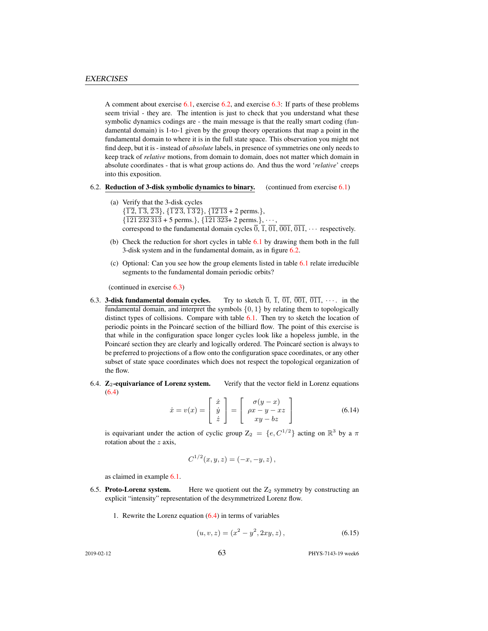A comment about exercise  $6.1$ , exercise  $6.2$ , and exercise  $6.3$ : If parts of these problems seem trivial - they are. The intention is just to check that you understand what these symbolic dynamics codings are - the main message is that the really smart coding (fundamental domain) is 1-to-1 given by the group theory operations that map a point in the fundamental domain to where it is in the full state space. This observation you might not find deep, but it is - instead of *absolute* labels, in presence of symmetries one only needs to keep track of *relative* motions, from domain to domain, does not matter which domain in absolute coordinates - that is what group actions do. And thus the word '*relative*' creeps into this exposition.

- 6.2. Reduction of 3-disk symbolic dynamics to binary. (continued from exercise 6.1)
	- (a) Verify that the 3-disk cycles  $\{\overline{12}, \overline{13}, \overline{23}\}, \{\overline{123}, \overline{132}\}, \{\overline{1213} \pm 2 \text{ perms.}\},\$  $\{121\,232\,313 + 5$  perms.},  $\{121\,323 + 2$  perms.},  $\cdots$ , correspond to the fundamental domain cycles  $\overline{0}$ ,  $\overline{1}$ ,  $\overline{01}$ ,  $\overline{001}$ ,  $\overline{011}$ ,  $\cdots$  respectively.
	- (b) Check the reduction for short cycles in table  $6.1$  by drawing them both in the full 3-disk system and in the fundamental domain, as in figure 6.2.
	- (c) Optional: Can you see how the group elements listed in table 6.1 relate irreducible segments to the fundamental domain periodic orbits?

(continued in exercise 6.3)

- 6.3. **3-disk fundamental domain cycles.** Try to sketch  $\overline{0}$ ,  $\overline{1}$ ,  $\overline{01}$ ,  $\overline{001}$ ,  $\overline{011}$ ,  $\cdots$  in the fundamental domain, and interpret the symbols  $\{0, 1\}$  by relating them to topologically distinct types of collisions. Compare with table 6.1. Then try to sketch the location of periodic points in the Poincaré section of the billiard flow. The point of this exercise is that while in the configuration space longer cycles look like a hopeless jumble, in the Poincaré section they are clearly and logically ordered. The Poincaré section is always to be preferred to projections of a flow onto the configuration space coordinates, or any other subset of state space coordinates which does not respect the topological organization of the flow.
- 6.4.  $\mathbb{Z}_2$ -equivariance of Lorenz system. Verify that the vector field in Lorenz equations (6.4)

$$
\dot{x} = v(x) = \begin{bmatrix} \dot{x} \\ \dot{y} \\ \dot{z} \end{bmatrix} = \begin{bmatrix} \sigma(y - x) \\ \rho x - y - xz \\ xy - bz \end{bmatrix}
$$
(6.14)

is equivariant under the action of cyclic group  $Z_2 = \{e, C^{1/2}\}\$  acting on  $\mathbb{R}^3$  by a  $\pi$ rotation about the  $z$  axis,

$$
C^{1/2}(x, y, z) = (-x, -y, z),
$$

as claimed in example 6.1.

- 6.5. Proto-Lorenz system. Here we quotient out the  $Z_2$  symmetry by constructing an explicit "intensity" representation of the desymmetrized Lorenz flow.
	- 1. Rewrite the Lorenz equation  $(6.4)$  in terms of variables

$$
(u, v, z) = (x2 – y2, 2xy, z),
$$
\n(6.15)

2019-02-12 **63** PHYS-7143-19 week6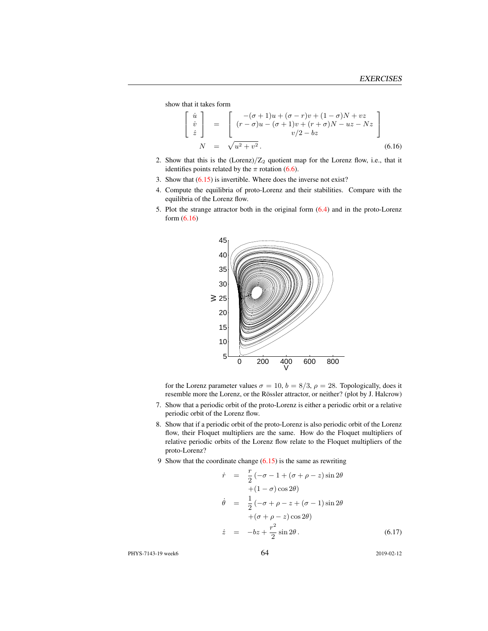show that it takes form

$$
\begin{bmatrix}\n\dot{u} \\
\dot{v} \\
\dot{z}\n\end{bmatrix} = \begin{bmatrix}\n-(\sigma+1)u + (\sigma-r)v + (1-\sigma)N + vz \\
(r-\sigma)u - (\sigma+1)v + (r+\sigma)N - uz - Nz \\
v/2 - bz\n\end{bmatrix}
$$
\n(6.16)

- 2. Show that this is the  $(Lorenz)/Z_2$  quotient map for the Lorenz flow, i.e., that it identifies points related by the  $\pi$  rotation (6.6).
- 3. Show that (6.15) is invertible. Where does the inverse not exist?
- 4. Compute the equilibria of proto-Lorenz and their stabilities. Compare with the equilibria of the Lorenz flow.
- 5. Plot the strange attractor both in the original form (6.4) and in the proto-Lorenz form (6.16)



for the Lorenz parameter values  $\sigma = 10$ ,  $b = 8/3$ ,  $\rho = 28$ . Topologically, does it resemble more the Lorenz, or the Rössler attractor, or neither? (plot by J. Halcrow)

- 7. Show that a periodic orbit of the proto-Lorenz is either a periodic orbit or a relative periodic orbit of the Lorenz flow.
- 8. Show that if a periodic orbit of the proto-Lorenz is also periodic orbit of the Lorenz flow, their Floquet multipliers are the same. How do the Floquet multipliers of relative periodic orbits of the Lorenz flow relate to the Floquet multipliers of the proto-Lorenz?
- 9 Show that the coordinate change (6.15) is the same as rewriting

$$
\dot{r} = \frac{r}{2} \left( -\sigma - 1 + (\sigma + \rho - z) \sin 2\theta \right.\n+ (1 - \sigma) \cos 2\theta) \n\dot{\theta} = \frac{1}{2} \left( -\sigma + \rho - z + (\sigma - 1) \sin 2\theta \right.\n+ (\sigma + \rho - z) \cos 2\theta) \n\dot{z} = -bz + \frac{r^2}{2} \sin 2\theta.
$$
\n(6.17)

PHYS-7143-19 week6 64 2019-02-12